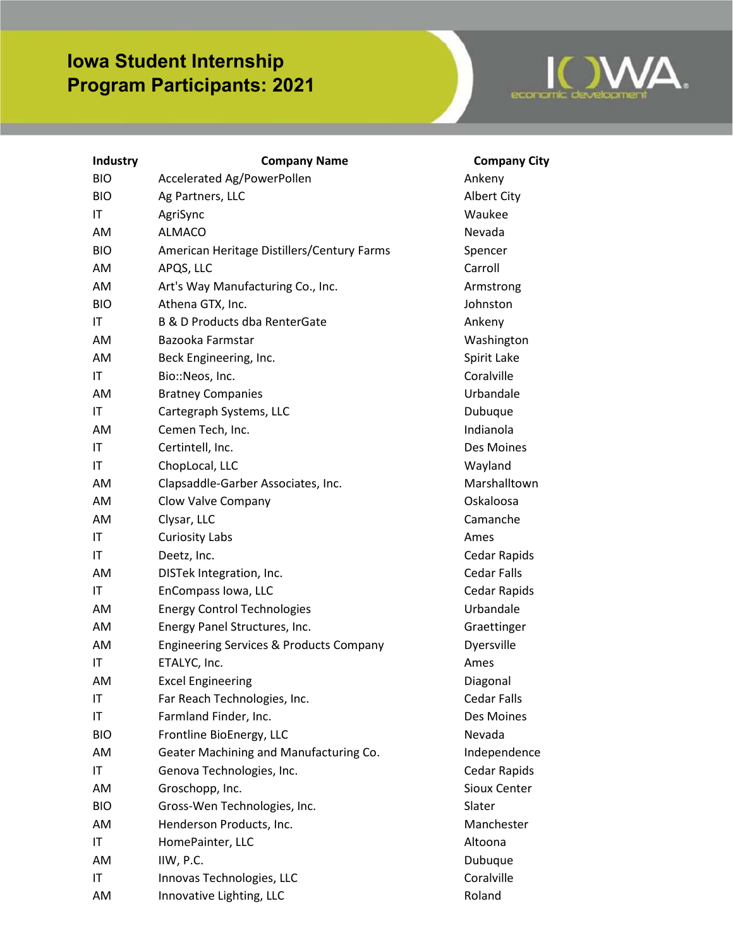## **Iowa Student Internship Program Participants: 2021**



| Industry   | <b>Company Name</b>                                | <b>Company City</b> |
|------------|----------------------------------------------------|---------------------|
| <b>BIO</b> | Accelerated Ag/PowerPollen                         | Ankeny              |
| <b>BIO</b> | Ag Partners, LLC                                   | Albert City         |
| IT         | AgriSync                                           | Waukee              |
| AM         | <b>ALMACO</b>                                      | Nevada              |
| <b>BIO</b> | American Heritage Distillers/Century Farms         | Spencer             |
| AM         | APQS, LLC                                          | Carroll             |
| AM         | Art's Way Manufacturing Co., Inc.                  | Armstrong           |
| <b>BIO</b> | Athena GTX, Inc.                                   | Johnston            |
| IT         | B & D Products dba RenterGate                      | Ankeny              |
| AM         | Bazooka Farmstar                                   | Washington          |
| AM         | Beck Engineering, Inc.                             | Spirit Lake         |
| IT         | Bio::Neos, Inc.                                    | Coralville          |
| AM         | <b>Bratney Companies</b>                           | Urbandale           |
| IT         | Cartegraph Systems, LLC                            | Dubuque             |
| AM         | Cemen Tech, Inc.                                   | Indianola           |
| IT         | Certintell, Inc.                                   | Des Moines          |
| IT         | ChopLocal, LLC                                     | Wayland             |
| AM         | Clapsaddle-Garber Associates, Inc.                 | Marshalltown        |
| AM         | Clow Valve Company                                 | Oskaloosa           |
| AM         | Clysar, LLC                                        | Camanche            |
| IT         | <b>Curiosity Labs</b>                              | Ames                |
| IT         | Deetz, Inc.                                        | Cedar Rapids        |
| AM         | DISTek Integration, Inc.                           | <b>Cedar Falls</b>  |
| IT         | EnCompass Iowa, LLC                                | Cedar Rapids        |
| AM         | <b>Energy Control Technologies</b>                 | Urbandale           |
| AM         | Energy Panel Structures, Inc.                      | Graettinger         |
| AM         | <b>Engineering Services &amp; Products Company</b> | Dyersville          |
| IT         | ETALYC, Inc.                                       | Ames                |
| AM         | <b>Excel Engineering</b>                           | Diagonal            |
| IT         | Far Reach Technologies, Inc.                       | Cedar Falls         |
| IT         | Farmland Finder, Inc.                              | Des Moines          |
| <b>BIO</b> | Frontline BioEnergy, LLC                           | Nevada              |
| AM         | Geater Machining and Manufacturing Co.             | Independence        |
| IT         | Genova Technologies, Inc.                          | <b>Cedar Rapids</b> |
| AM         | Groschopp, Inc.                                    | Sioux Center        |
| <b>BIO</b> | Gross-Wen Technologies, Inc.                       | Slater              |
| AM         | Henderson Products, Inc.                           | Manchester          |
| IT         | HomePainter, LLC                                   | Altoona             |
| AM         | IIW, P.C.                                          | Dubuque             |
| IT         | Innovas Technologies, LLC                          | Coralville          |
| AM         | Innovative Lighting, LLC                           | Roland              |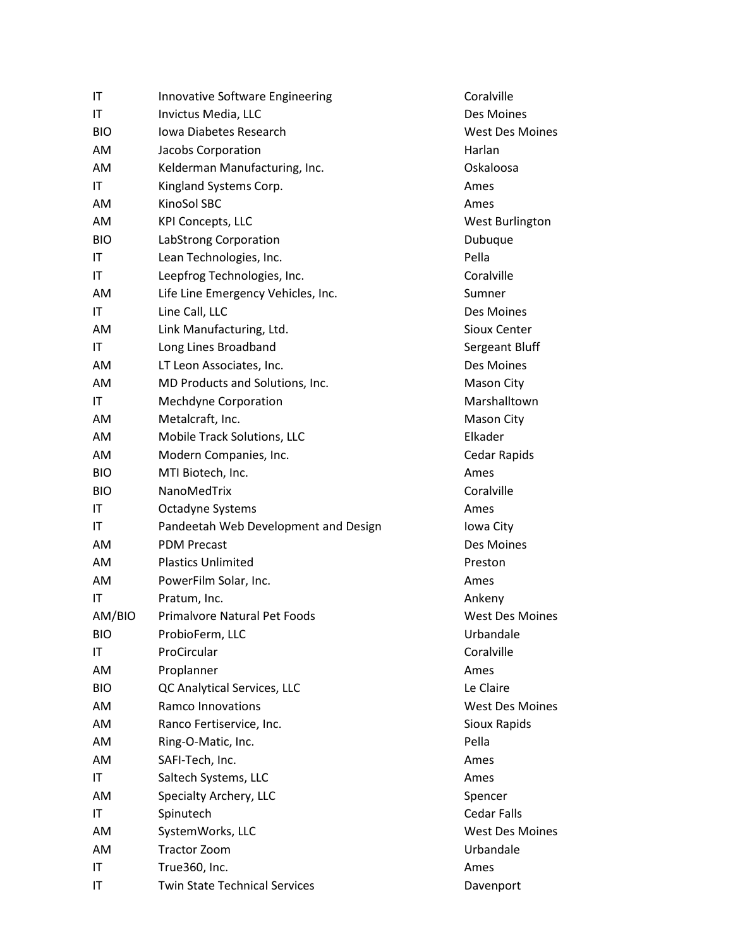| IT                     | Innovative Software Engineering      | Coralville             |
|------------------------|--------------------------------------|------------------------|
| IT                     | Invictus Media, LLC                  | Des Moines             |
| <b>BIO</b>             | Iowa Diabetes Research               | <b>West Des Moines</b> |
| AM                     | Jacobs Corporation                   | Harlan                 |
| AM                     | Kelderman Manufacturing, Inc.        | Oskaloosa              |
| IT                     | Kingland Systems Corp.               | Ames                   |
| AM                     | KinoSol SBC                          | Ames                   |
| AM                     | <b>KPI Concepts, LLC</b>             | West Burlington        |
| <b>BIO</b>             | LabStrong Corporation                | Dubuque                |
| IT                     | Lean Technologies, Inc.              | Pella                  |
| IT                     | Leepfrog Technologies, Inc.          | Coralville             |
| AM                     | Life Line Emergency Vehicles, Inc.   | Sumner                 |
| IT                     | Line Call, LLC                       | Des Moines             |
| AM                     | Link Manufacturing, Ltd.             | Sioux Center           |
| $\mathsf{I}\mathsf{T}$ | Long Lines Broadband                 | Sergeant Bluff         |
| AM                     | LT Leon Associates, Inc.             | Des Moines             |
| AM                     | MD Products and Solutions, Inc.      | Mason City             |
| IT                     | Mechdyne Corporation                 | Marshalltown           |
| AM                     | Metalcraft, Inc.                     | Mason City             |
| AM                     | Mobile Track Solutions, LLC          | Elkader                |
| AM                     | Modern Companies, Inc.               | Cedar Rapids           |
| <b>BIO</b>             | MTI Biotech, Inc.                    | Ames                   |
| <b>BIO</b>             | NanoMedTrix                          | Coralville             |
| IT                     | Octadyne Systems                     | Ames                   |
| IT                     | Pandeetah Web Development and Design | Iowa City              |
| AM                     | <b>PDM Precast</b>                   | Des Moines             |
| AM                     | <b>Plastics Unlimited</b>            | Preston                |
| AM                     | PowerFilm Solar, Inc.                | Ames                   |
| IT                     | Pratum, Inc.                         | Ankeny                 |
| AM/BIO                 | <b>Primalvore Natural Pet Foods</b>  | <b>West Des Moines</b> |
| <b>BIO</b>             | ProbioFerm, LLC                      | Urbandale              |
| IT                     | ProCircular                          | Coralville             |
| AM                     | Proplanner                           | Ames                   |
| <b>BIO</b>             | QC Analytical Services, LLC          | Le Claire              |
| AM                     | Ramco Innovations                    | <b>West Des Moines</b> |
| AM                     | Ranco Fertiservice, Inc.             | Sioux Rapids           |
| AM                     | Ring-O-Matic, Inc.                   | Pella                  |
| AM                     | SAFI-Tech, Inc.                      | Ames                   |
| IT                     | Saltech Systems, LLC                 | Ames                   |
| AM                     | Specialty Archery, LLC               | Spencer                |
| IT                     | Spinutech                            | <b>Cedar Falls</b>     |
| AM                     | SystemWorks, LLC                     | <b>West Des Moines</b> |
| AM                     | <b>Tractor Zoom</b>                  | Urbandale              |
| IT                     | True360, Inc.                        | Ames                   |
| IT                     | <b>Twin State Technical Services</b> | Davenport              |